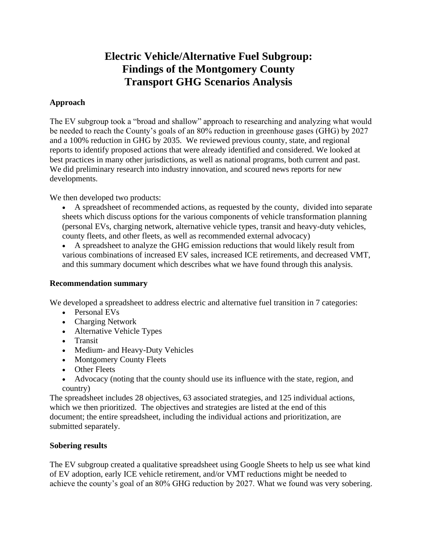# **Electric Vehicle/Alternative Fuel Subgroup: Findings of the Montgomery County Transport GHG Scenarios Analysis**

## **Approach**

The EV subgroup took a "broad and shallow" approach to researching and analyzing what would be needed to reach the County's goals of an 80% reduction in greenhouse gases (GHG) by 2027 and a 100% reduction in GHG by 2035. We reviewed previous county, state, and regional reports to identify proposed actions that were already identified and considered. We looked at best practices in many other jurisdictions, as well as national programs, both current and past. We did preliminary research into industry innovation, and scoured news reports for new developments.

We then developed two products:

• A spreadsheet of recommended actions, as requested by the county, divided into separate sheets which discuss options for the various components of vehicle transformation planning (personal EVs, charging network, alternative vehicle types, transit and heavy-duty vehicles, county fleets, and other fleets, as well as recommended external advocacy)

• A spreadsheet to analyze the GHG emission reductions that would likely result from various combinations of increased EV sales, increased ICE retirements, and decreased VMT, and this summary document which describes what we have found through this analysis.

#### **Recommendation summary**

We developed a spreadsheet to address electric and alternative fuel transition in 7 categories:

- Personal EVs
- Charging Network
- Alternative Vehicle Types
- Transit
- Medium- and Heavy-Duty Vehicles
- Montgomery County Fleets
- Other Fleets
- Advocacy (noting that the county should use its influence with the state, region, and country)

The spreadsheet includes 28 objectives, 63 associated strategies, and 125 individual actions, which we then prioritized. The objectives and strategies are listed at the end of this document; the entire spreadsheet, including the individual actions and prioritization, are submitted separately.

#### **Sobering results**

The EV subgroup created a qualitative spreadsheet using Google Sheets to help us see what kind of EV adoption, early ICE vehicle retirement, and/or VMT reductions might be needed to achieve the county's goal of an 80% GHG reduction by 2027. What we found was very sobering.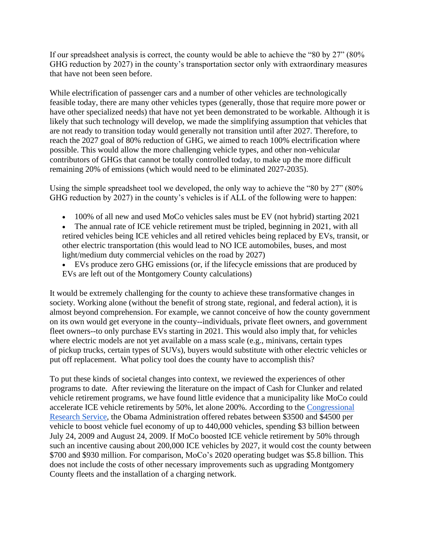If our spreadsheet analysis is correct, the county would be able to achieve the "80 by 27" (80% GHG reduction by 2027) in the county's transportation sector only with extraordinary measures that have not been seen before.

While electrification of passenger cars and a number of other vehicles are technologically feasible today, there are many other vehicles types (generally, those that require more power or have other specialized needs) that have not yet been demonstrated to be workable. Although it is likely that such technology will develop, we made the simplifying assumption that vehicles that are not ready to transition today would generally not transition until after 2027. Therefore, to reach the 2027 goal of 80% reduction of GHG, we aimed to reach 100% electrification where possible. This would allow the more challenging vehicle types, and other non-vehicular contributors of GHGs that cannot be totally controlled today, to make up the more difficult remaining 20% of emissions (which would need to be eliminated 2027-2035).

Using the simple spreadsheet tool we developed, the only way to achieve the "80 by 27" (80% GHG reduction by 2027) in the county's vehicles is if ALL of the following were to happen:

- 100% of all new and used MoCo vehicles sales must be EV (not hybrid) starting 2021
- The annual rate of ICE vehicle retirement must be tripled, beginning in 2021, with all retired vehicles being ICE vehicles and all retired vehicles being replaced by EVs, transit, or other electric transportation (this would lead to NO ICE automobiles, buses, and most light/medium duty commercial vehicles on the road by 2027)
- EVs produce zero GHG emissions (or, if the lifecycle emissions that are produced by EVs are left out of the Montgomery County calculations)

It would be extremely challenging for the county to achieve these transformative changes in society. Working alone (without the benefit of strong state, regional, and federal action), it is almost beyond comprehension. For example, we cannot conceive of how the county government on its own would get everyone in the county--individuals, private fleet owners, and government fleet owners--to only purchase EVs starting in 2021. This would also imply that, for vehicles where electric models are not yet available on a mass scale (e.g., minivans, certain types of pickup trucks, certain types of SUVs), buyers would substitute with other electric vehicles or put off replacement. What policy tool does the county have to accomplish this?

To put these kinds of societal changes into context, we reviewed the experiences of other programs to date. After reviewing the literature on the impact of Cash for Clunker and related vehicle retirement programs, we have found little evidence that a municipality like MoCo could accelerate ICE vehicle retirements by 50%, let alone 200%. According to the [Congressional](https://www.everycrsreport.com/files/20100303_R40654_31334bf7ef7706220966685afd51009808cb82de.pdf)  [Research Service,](https://www.everycrsreport.com/files/20100303_R40654_31334bf7ef7706220966685afd51009808cb82de.pdf) the Obama Administration offered rebates between \$3500 and \$4500 per vehicle to boost vehicle fuel economy of up to 440,000 vehicles, spending \$3 billion between July 24, 2009 and August 24, 2009. If MoCo boosted ICE vehicle retirement by 50% through such an incentive causing about 200,000 ICE vehicles by 2027, it would cost the county between \$700 and \$930 million. For comparison, MoCo's 2020 operating budget was \$5.8 billion. This does not include the costs of other necessary improvements such as upgrading Montgomery County fleets and the installation of a charging network.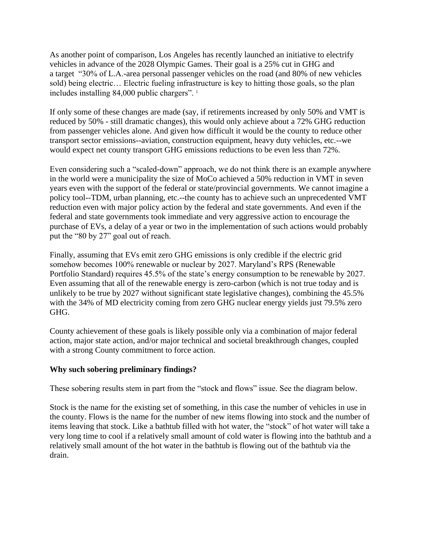As another point of comparison, Los Angeles has recently launched an initiative to electrify vehicles in advance of the 2028 Olympic Games. Their goal is a 25% cut in GHG and a target "30% of L.A.-area personal passenger vehicles on the road (and 80% of new vehicles sold) being electric… Electric fueling infrastructure is key to hitting those goals, so the plan includes installing 84,000 public chargers". <sup>1</sup>

If only some of these changes are made (say, if retirements increased by only 50% and VMT is reduced by 50% - still dramatic changes), this would only achieve about a 72% GHG reduction from passenger vehicles alone. And given how difficult it would be the county to reduce other transport sector emissions--aviation, construction equipment, heavy duty vehicles, etc.--we would expect net county transport GHG emissions reductions to be even less than 72%.

Even considering such a "scaled-down" approach, we do not think there is an example anywhere in the world were a municipality the size of MoCo achieved a 50% reduction in VMT in seven years even with the support of the federal or state/provincial governments. We cannot imagine a policy tool--TDM, urban planning, etc.--the county has to achieve such an unprecedented VMT reduction even with major policy action by the federal and state governments. And even if the federal and state governments took immediate and very aggressive action to encourage the purchase of EVs, a delay of a year or two in the implementation of such actions would probably put the "80 by 27" goal out of reach.

Finally, assuming that EVs emit zero GHG emissions is only credible if the electric grid somehow becomes 100% renewable or nuclear by 2027. Maryland's RPS (Renewable Portfolio Standard) requires 45.5% of the state's energy consumption to be renewable by 2027. Even assuming that all of the renewable energy is zero-carbon (which is not true today and is unlikely to be true by 2027 without significant state legislative changes), combining the 45.5% with the 34% of MD electricity coming from zero GHG nuclear energy yields just 79.5% zero GHG.

County achievement of these goals is likely possible only via a combination of major federal action, major state action, and/or major technical and societal breakthrough changes, coupled with a strong County commitment to force action.

#### **Why such sobering preliminary findings?**

These sobering results stem in part from the "stock and flows" issue. See the diagram below.

Stock is the name for the existing set of something, in this case the number of vehicles in use in the county. Flows is the name for the number of new items flowing into stock and the number of items leaving that stock. Like a bathtub filled with hot water, the "stock" of hot water will take a very long time to cool if a relatively small amount of cold water is flowing into the bathtub and a relatively small amount of the hot water in the bathtub is flowing out of the bathtub via the drain.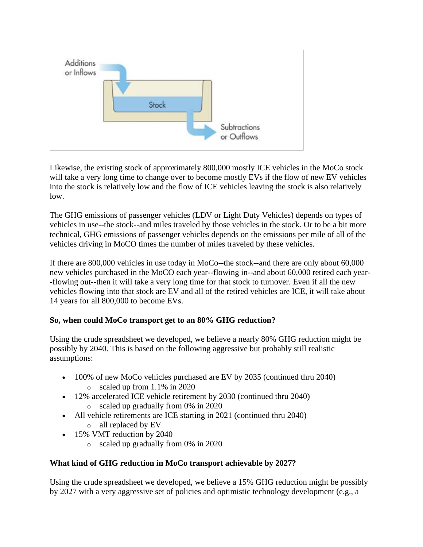

Likewise, the existing stock of approximately 800,000 mostly ICE vehicles in the MoCo stock will take a very long time to change over to become mostly EVs if the flow of new EV vehicles into the stock is relatively low and the flow of ICE vehicles leaving the stock is also relatively low.

The GHG emissions of passenger vehicles (LDV or Light Duty Vehicles) depends on types of vehicles in use--the stock--and miles traveled by those vehicles in the stock. Or to be a bit more technical, GHG emissions of passenger vehicles depends on the emissions per mile of all of the vehicles driving in MoCO times the number of miles traveled by these vehicles.

If there are 800,000 vehicles in use today in MoCo--the stock--and there are only about 60,000 new vehicles purchased in the MoCO each year--flowing in--and about 60,000 retired each year- -flowing out--then it will take a very long time for that stock to turnover. Even if all the new vehicles flowing into that stock are EV and all of the retired vehicles are ICE, it will take about 14 years for all 800,000 to become EVs.

#### **So, when could MoCo transport get to an 80% GHG reduction?**

Using the crude spreadsheet we developed, we believe a nearly 80% GHG reduction might be possibly by 2040. This is based on the following aggressive but probably still realistic assumptions:

- 100% of new MoCo vehicles purchased are EV by 2035 (continued thru 2040) o scaled up from 1.1% in 2020
- 12% accelerated ICE vehicle retirement by 2030 (continued thru 2040)
	- o scaled up gradually from 0% in 2020
- All vehicle retirements are ICE starting in 2021 (continued thru 2040)
	- o all replaced by EV
- 15% VMT reduction by 2040
	- o scaled up gradually from 0% in 2020

# **What kind of GHG reduction in MoCo transport achievable by 2027?**

Using the crude spreadsheet we developed, we believe a 15% GHG reduction might be possibly by 2027 with a very aggressive set of policies and optimistic technology development (e.g., a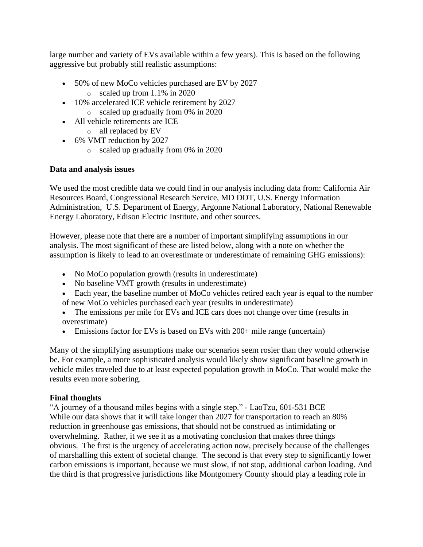large number and variety of EVs available within a few years). This is based on the following aggressive but probably still realistic assumptions:

- 50% of new MoCo vehicles purchased are EV by 2027
	- o scaled up from 1.1% in 2020
- 10% accelerated ICE vehicle retirement by 2027 o scaled up gradually from 0% in 2020
- All vehicle retirements are ICE
	- o all replaced by EV
- 6% VMT reduction by 2027
	- o scaled up gradually from 0% in 2020

## **Data and analysis issues**

We used the most credible data we could find in our analysis including data from: California Air Resources Board, Congressional Research Service, MD DOT, U.S. Energy Information Administration, U.S. Department of Energy, Argonne National Laboratory, National Renewable Energy Laboratory, Edison Electric Institute, and other sources.

However, please note that there are a number of important simplifying assumptions in our analysis. The most significant of these are listed below, along with a note on whether the assumption is likely to lead to an overestimate or underestimate of remaining GHG emissions):

- No MoCo population growth (results in underestimate)
- No baseline VMT growth (results in underestimate)
- Each year, the baseline number of MoCo vehicles retired each year is equal to the number of new MoCo vehicles purchased each year (results in underestimate)
- The emissions per mile for EVs and ICE cars does not change over time (results in overestimate)
- Emissions factor for EVs is based on EVs with 200+ mile range (uncertain)

Many of the simplifying assumptions make our scenarios seem rosier than they would otherwise be. For example, a more sophisticated analysis would likely show significant baseline growth in vehicle miles traveled due to at least expected population growth in MoCo. That would make the results even more sobering.

#### **Final thoughts**

"A journey of a thousand miles begins with a single step." - LaoTzu, 601-531 BCE While our data shows that it will take longer than 2027 for transportation to reach an 80% reduction in greenhouse gas emissions, that should not be construed as intimidating or overwhelming. Rather, it we see it as a motivating conclusion that makes three things obvious. The first is the urgency of accelerating action now, precisely because of the challenges of marshalling this extent of societal change. The second is that every step to significantly lower carbon emissions is important, because we must slow, if not stop, additional carbon loading. And the third is that progressive jurisdictions like Montgomery County should play a leading role in